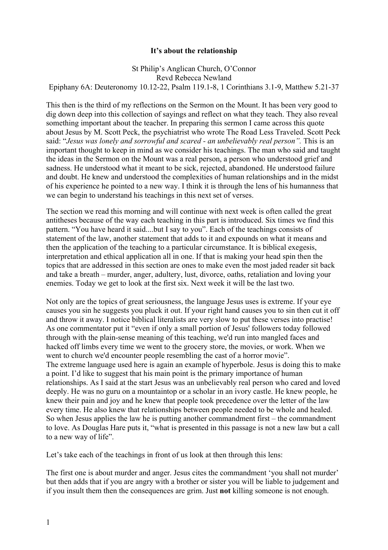## **It's about the relationship**

St Philip's Anglican Church, O'Connor Revd Rebecca Newland Epiphany 6A: Deuteronomy 10.12-22, Psalm 119.1-8, 1 Corinthians 3.1-9, Matthew 5.21-37

This then is the third of my reflections on the Sermon on the Mount. It has been very good to dig down deep into this collection of sayings and reflect on what they teach. They also reveal something important about the teacher. In preparing this sermon I came across this quote about Jesus by M. Scott Peck, the psychiatrist who wrote The Road Less Traveled. Scott Peck said: "*Jesus was lonely and sorrowful and scared - an unbelievably real person".* This is an important thought to keep in mind as we consider his teachings. The man who said and taught the ideas in the Sermon on the Mount was a real person, a person who understood grief and sadness. He understood what it meant to be sick, rejected, abandoned. He understood failure and doubt. He knew and understood the complexities of human relationships and in the midst of his experience he pointed to a new way. I think it is through the lens of his humanness that we can begin to understand his teachings in this next set of verses.

The section we read this morning and will continue with next week is often called the great antitheses because of the way each teaching in this part is introduced. Six times we find this pattern. "You have heard it said....but I say to you". Each of the teachings consists of statement of the law, another statement that adds to it and expounds on what it means and then the application of the teaching to a particular circumstance. It is biblical exegesis, interpretation and ethical application all in one. If that is making your head spin then the topics that are addressed in this section are ones to make even the most jaded reader sit back and take a breath – murder, anger, adultery, lust, divorce, oaths, retaliation and loving your enemies. Today we get to look at the first six. Next week it will be the last two.

Not only are the topics of great seriousness, the language Jesus uses is extreme. If your eye causes you sin he suggests you pluck it out. If your right hand causes you to sin then cut it off and throw it away. I notice biblical literalists are very slow to put these verses into practise! As one commentator put it "even if only a small portion of Jesus' followers today followed through with the plain-sense meaning of this teaching, we'd run into mangled faces and hacked off limbs every time we went to the grocery store, the movies, or work. When we went to church we'd encounter people resembling the cast of a horror movie". The extreme language used here is again an example of hyperbole. Jesus is doing this to make a point. I'd like to suggest that his main point is the primary importance of human relationships. As I said at the start Jesus was an unbelievably real person who cared and loved deeply. He was no guru on a mountaintop or a scholar in an ivory castle. He knew people, he knew their pain and joy and he knew that people took precedence over the letter of the law every time. He also knew that relationships between people needed to be whole and healed. So when Jesus applies the law he is putting another commandment first – the commandment to love. As Douglas Hare puts it, "what is presented in this passage is not a new law but a call to a new way of life".

Let's take each of the teachings in front of us look at then through this lens:

The first one is about murder and anger. Jesus cites the commandment 'you shall not murder' but then adds that if you are angry with a brother or sister you will be liable to judgement and if you insult them then the consequences are grim. Just **not** killing someone is not enough.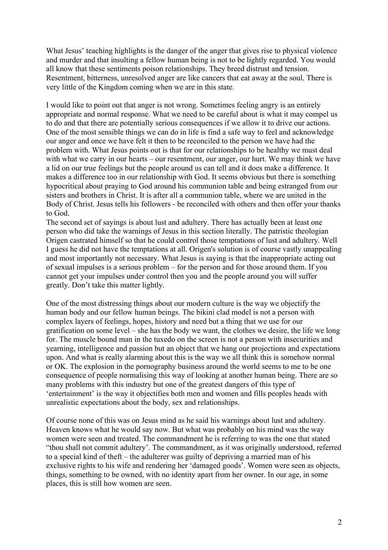What Jesus' teaching highlights is the danger of the anger that gives rise to physical violence and murder and that insulting a fellow human being is not to be lightly regarded. You would all know that these sentiments poison relationships. They breed distrust and tension. Resentment, bitterness, unresolved anger are like cancers that eat away at the soul. There is very little of the Kingdom coming when we are in this state.

I would like to point out that anger is not wrong. Sometimes feeling angry is an entirely appropriate and normal response. What we need to be careful about is what it may compel us to do and that there are potentially serious consequences if we allow it to drive our actions. One of the most sensible things we can do in life is find a safe way to feel and acknowledge our anger and once we have felt it then to be reconciled to the person we have had the problem with. What Jesus points out is that for our relationships to be healthy we must deal with what we carry in our hearts – our resentment, our anger, our hurt. We may think we have a lid on our true feelings but the people around us can tell and it does make a difference. It makes a difference too in our relationship with God. It seems obvious but there is something hypocritical about praying to God around his communion table and being estranged from our sisters and brothers in Christ. It is after all a communion table, where we are united in the Body of Christ. Jesus tells his followers - be reconciled with others and then offer your thanks to God.

The second set of sayings is about lust and adultery. There has actually been at least one person who did take the warnings of Jesus in this section literally. The patristic theologian Origen castrated himself so that he could control those temptations of lust and adultery. Well I guess he did not have the temptations at all. Origen's solution is of course vastly unappealing and most importantly not necessary. What Jesus is saying is that the inappropriate acting out of sexual impulses is a serious problem – for the person and for those around them. If you cannot get your impulses under control then you and the people around you will suffer greatly. Don't take this matter lightly.

One of the most distressing things about our modern culture is the way we objectify the human body and our fellow human beings. The bikini clad model is not a person with complex layers of feelings, hopes, history and need but a thing that we use for our gratification on some level – she has the body we want, the clothes we desire, the life we long for. The muscle bound man in the tuxedo on the screen is not a person with insecurities and yearning, intelligence and passion but an object that we hang our projections and expectations upon. And what is really alarming about this is the way we all think this is somehow normal or OK. The explosion in the pornography business around the world seems to me to be one consequence of people normalising this way of looking at another human being. There are so many problems with this industry but one of the greatest dangers of this type of 'entertainment' is the way it objectifies both men and women and fills peoples heads with unrealistic expectations about the body, sex and relationships.

Of course none of this was on Jesus mind as he said his warnings about lust and adultery. Heaven knows what he would say now. But what was probably on his mind was the way women were seen and treated. The commandment he is referring to was the one that stated "thou shall not commit adultery'. The commandment, as it was originally understood, referred to a special kind of theft – the adulterer was guilty of depriving a married man of his exclusive rights to his wife and rendering her 'damaged goods'. Women were seen as objects, things, something to be owned, with no identity apart from her owner. In our age, in some places, this is still how women are seen.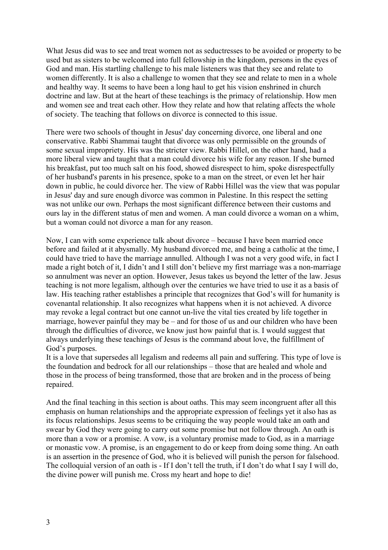What Jesus did was to see and treat women not as seductresses to be avoided or property to be used but as sisters to be welcomed into full fellowship in the kingdom, persons in the eyes of God and man. His startling challenge to his male listeners was that they see and relate to women differently. It is also a challenge to women that they see and relate to men in a whole and healthy way. It seems to have been a long haul to get his vision enshrined in church doctrine and law. But at the heart of these teachings is the primacy of relationship. How men and women see and treat each other. How they relate and how that relating affects the whole of society. The teaching that follows on divorce is connected to this issue.

There were two schools of thought in Jesus' day concerning divorce, one liberal and one conservative. Rabbi Shammai taught that divorce was only permissible on the grounds of some sexual impropriety. His was the stricter view. Rabbi Hillel, on the other hand, had a more liberal view and taught that a man could divorce his wife for any reason. If she burned his breakfast, put too much salt on his food, showed disrespect to him, spoke disrespectfully of her husband's parents in his presence, spoke to a man on the street, or even let her hair down in public, he could divorce her. The view of Rabbi Hillel was the view that was popular in Jesus' day and sure enough divorce was common in Palestine. In this respect the setting was not unlike our own. Perhaps the most significant difference between their customs and ours lay in the different status of men and women. A man could divorce a woman on a whim, but a woman could not divorce a man for any reason.

Now, I can with some experience talk about divorce – because I have been married once before and failed at it abysmally. My husband divorced me, and being a catholic at the time, I could have tried to have the marriage annulled. Although I was not a very good wife, in fact I made a right botch of it, I didn't and I still don't believe my first marriage was a non-marriage so annulment was never an option. However, Jesus takes us beyond the letter of the law. Jesus teaching is not more legalism, although over the centuries we have tried to use it as a basis of law. His teaching rather establishes a principle that recognizes that God's will for humanity is covenantal relationship. It also recognizes what happens when it is not achieved. A divorce may revoke a legal contract but one cannot un-live the vital ties created by life together in marriage, however painful they may be – and for those of us and our children who have been through the difficulties of divorce, we know just how painful that is. I would suggest that always underlying these teachings of Jesus is the command about love, the fulfillment of God's purposes.

It is a love that supersedes all legalism and redeems all pain and suffering. This type of love is the foundation and bedrock for all our relationships – those that are healed and whole and those in the process of being transformed, those that are broken and in the process of being repaired.

And the final teaching in this section is about oaths. This may seem incongruent after all this emphasis on human relationships and the appropriate expression of feelings yet it also has as its focus relationships. Jesus seems to be critiquing the way people would take an oath and swear by God they were going to carry out some promise but not follow through. An oath is more than a vow or a promise. A vow, is a voluntary promise made to God, as in a marriage or monastic vow. A promise, is an engagement to do or keep from doing some thing. An oath is an assertion in the presence of God, who it is believed will punish the person for falsehood. The colloquial version of an oath is - If I don't tell the truth, if I don't do what I say I will do, the divine power will punish me. Cross my heart and hope to die!